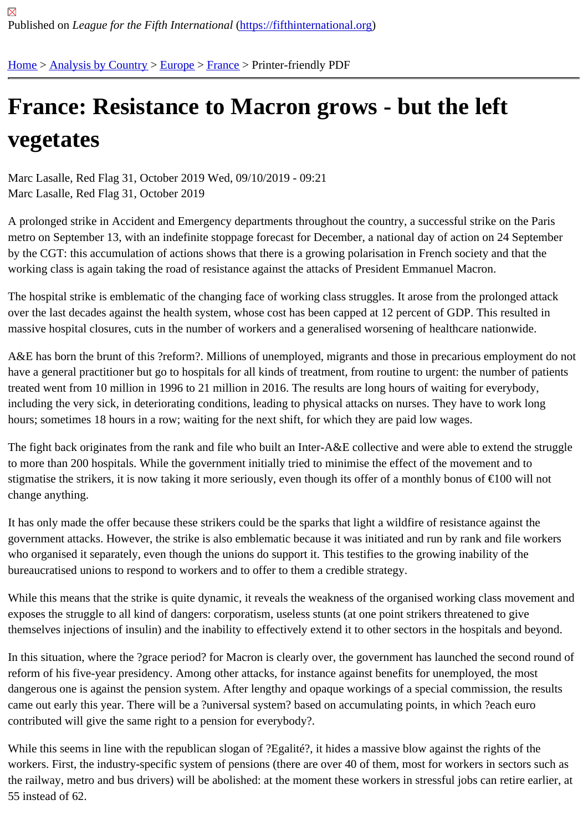## [Fra](https://fifthinternational.org/)[nce: Resis](https://fifthinternational.org/category/1)[tanc](https://fifthinternational.org/category/1/128)[e to](https://fifthinternational.org/category/1/128/144) Macron grows - but the left vegetates

Marc Lasalle, Red Flag 31, October 2019 Wed, 09/10/2019 - 09:21 Marc Lasalle, Red Flag 31, October 2019

A prolonged strike in Accident and Emergency departments throughout the country, a successful strike on the Par metro on September 13, with an indefinite stoppage forecast for December, a national day of action on 24 Septem by the CGT: this accumulation of actions shows that there is a growing polarisation in French society and that the working class is again taking the road of resistance against the attacks of President Emmanuel Macron.

The hospital strike is emblematic of the changing face of working class struggles. It arose from the prolonged attack over the last decades against the health system, whose cost has been capped at 12 percent of GDP. This resulted massive hospital closures, cuts in the number of workers and a generalised worsening of healthcare nationwide.

A&E has born the brunt of this ?reform?. Millions of unemployed, migrants and those in precarious employment do have a general practitioner but go to hospitals for all kinds of treatment, from routine to urgent: the number of patie treated went from 10 million in 1996 to 21 million in 2016. The results are long hours of waiting for everybody, including the very sick, in deteriorating conditions, leading to physical attacks on nurses. They have to work long hours; sometimes 18 hours in a row; waiting for the next shift, for which they are paid low wages.

The fight back originates from the rank and file who built an Inter-A&E collective and were able to extend the struggle to more than 200 hospitals. While the government initially tried to minimise the effect of the movement and to stigmatise the strikers, it is now taking it more seriously, even though its offer of a monthly bonus of €100 will not change anything.

It has only made the offer because these strikers could be the sparks that light a wildfire of resistance against the government attacks. However, the strike is also emblematic because it was initiated and run by rank and file worke who organised it separately, even though the unions do support it. This testifies to the growing inability of the bureaucratised unions to respond to workers and to offer to them a credible strategy.

While this means that the strike is quite dynamic, it reveals the weakness of the organised working class movement exposes the struggle to all kind of dangers: corporatism, useless stunts (at one point strikers threatened to give themselves injections of insulin) and the inability to effectively extend it to other sectors in the hospitals and beyon

In this situation, where the ?grace period? for Macron is clearly over, the government has launched the second rou reform of his five-year presidency. Among other attacks, for instance against benefits for unemployed, the most dangerous one is against the pension system. After lengthy and opaque workings of a special commission, the res came out early this year. There will be a ?universal system? based on accumulating points, in which ?each euro contributed will give the same right to a pension for everybody?.

While this seems in line with the republican slogan of ?Egalité?, it hides a massive blow against the rights of the workers. First, the industry-specific system of pensions (there are over 40 of them, most for workers in sectors suc the railway, metro and bus drivers) will be abolished: at the moment these workers in stressful jobs can retire earli 55 instead of 62.